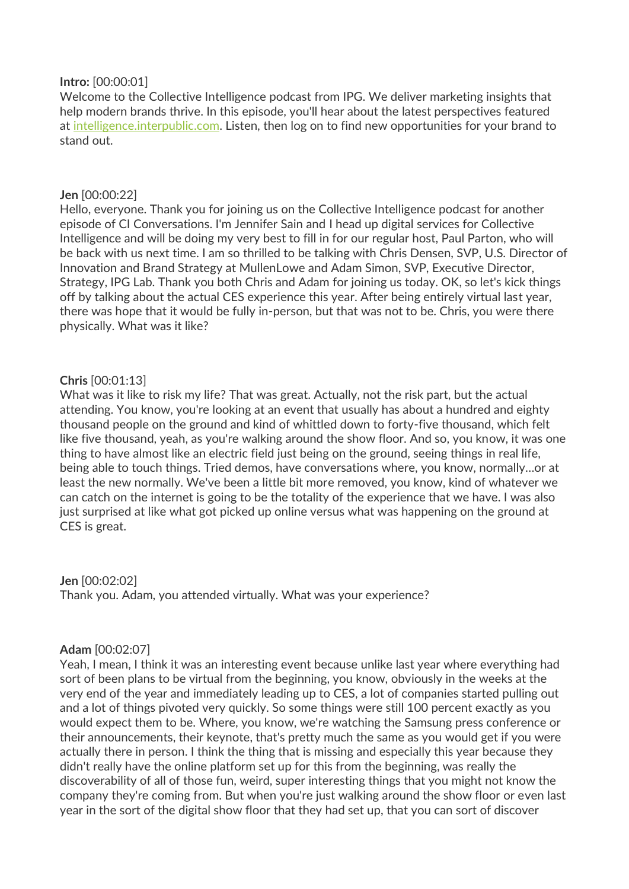### **Intro:** [00:00:01]

Welcome to the Collective Intelligence podcast from IPG. We deliver marketing insights that help modern brands thrive. In this episode, you'll hear about the latest perspectives featured at [intelligence.interpublic.com.](https://www.interpublic.com/about/collective-intelligence/) Listen, then log on to find new opportunities for your brand to stand out.

### **Jen** [00:00:22]

Hello, everyone. Thank you for joining us on the Collective Intelligence podcast for another episode of CI Conversations. I'm Jennifer Sain and I head up digital services for Collective Intelligence and will be doing my very best to fill in for our regular host, Paul Parton, who will be back with us next time. I am so thrilled to be talking with Chris Densen, SVP, U.S. Director of Innovation and Brand Strategy at MullenLowe and Adam Simon, SVP, Executive Director, Strategy, IPG Lab. Thank you both Chris and Adam for joining us today. OK, so let's kick things off by talking about the actual CES experience this year. After being entirely virtual last year, there was hope that it would be fully in-person, but that was not to be. Chris, you were there physically. What was it like?

### **Chris** [00:01:13]

What was it like to risk my life? That was great. Actually, not the risk part, but the actual attending. You know, you're looking at an event that usually has about a hundred and eighty thousand people on the ground and kind of whittled down to forty-five thousand, which felt like five thousand, yeah, as you're walking around the show floor. And so, you know, it was one thing to have almost like an electric field just being on the ground, seeing things in real life, being able to touch things. Tried demos, have conversations where, you know, normally…or at least the new normally. We've been a little bit more removed, you know, kind of whatever we can catch on the internet is going to be the totality of the experience that we have. I was also just surprised at like what got picked up online versus what was happening on the ground at CES is great.

**Jen** [00:02:02] Thank you. Adam, you attended virtually. What was your experience?

## **Adam** [00:02:07]

Yeah, I mean, I think it was an interesting event because unlike last year where everything had sort of been plans to be virtual from the beginning, you know, obviously in the weeks at the very end of the year and immediately leading up to CES, a lot of companies started pulling out and a lot of things pivoted very quickly. So some things were still 100 percent exactly as you would expect them to be. Where, you know, we're watching the Samsung press conference or their announcements, their keynote, that's pretty much the same as you would get if you were actually there in person. I think the thing that is missing and especially this year because they didn't really have the online platform set up for this from the beginning, was really the discoverability of all of those fun, weird, super interesting things that you might not know the company they're coming from. But when you're just walking around the show floor or even last year in the sort of the digital show floor that they had set up, that you can sort of discover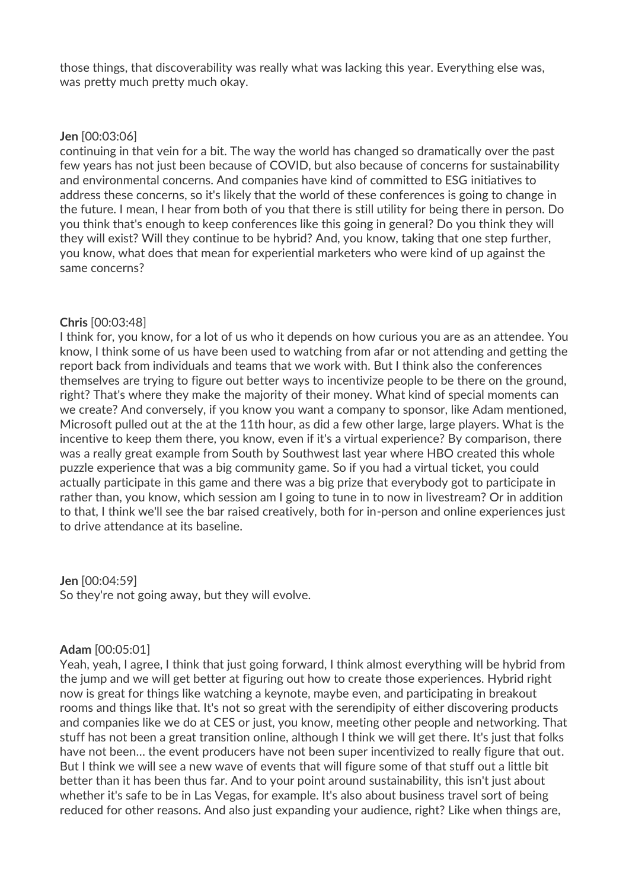those things, that discoverability was really what was lacking this year. Everything else was, was pretty much pretty much okay.

## **Jen** [00:03:06]

continuing in that vein for a bit. The way the world has changed so dramatically over the past few years has not just been because of COVID, but also because of concerns for sustainability and environmental concerns. And companies have kind of committed to ESG initiatives to address these concerns, so it's likely that the world of these conferences is going to change in the future. I mean, I hear from both of you that there is still utility for being there in person. Do you think that's enough to keep conferences like this going in general? Do you think they will they will exist? Will they continue to be hybrid? And, you know, taking that one step further, you know, what does that mean for experiential marketers who were kind of up against the same concerns?

### **Chris** [00:03:48]

I think for, you know, for a lot of us who it depends on how curious you are as an attendee. You know, I think some of us have been used to watching from afar or not attending and getting the report back from individuals and teams that we work with. But I think also the conferences themselves are trying to figure out better ways to incentivize people to be there on the ground, right? That's where they make the majority of their money. What kind of special moments can we create? And conversely, if you know you want a company to sponsor, like Adam mentioned, Microsoft pulled out at the at the 11th hour, as did a few other large, large players. What is the incentive to keep them there, you know, even if it's a virtual experience? By comparison, there was a really great example from South by Southwest last year where HBO created this whole puzzle experience that was a big community game. So if you had a virtual ticket, you could actually participate in this game and there was a big prize that everybody got to participate in rather than, you know, which session am I going to tune in to now in livestream? Or in addition to that, I think we'll see the bar raised creatively, both for in-person and online experiences just to drive attendance at its baseline.

**Jen** [00:04:59] So they're not going away, but they will evolve.

## **Adam** [00:05:01]

Yeah, yeah, I agree, I think that just going forward, I think almost everything will be hybrid from the jump and we will get better at figuring out how to create those experiences. Hybrid right now is great for things like watching a keynote, maybe even, and participating in breakout rooms and things like that. It's not so great with the serendipity of either discovering products and companies like we do at CES or just, you know, meeting other people and networking. That stuff has not been a great transition online, although I think we will get there. It's just that folks have not been… the event producers have not been super incentivized to really figure that out. But I think we will see a new wave of events that will figure some of that stuff out a little bit better than it has been thus far. And to your point around sustainability, this isn't just about whether it's safe to be in Las Vegas, for example. It's also about business travel sort of being reduced for other reasons. And also just expanding your audience, right? Like when things are,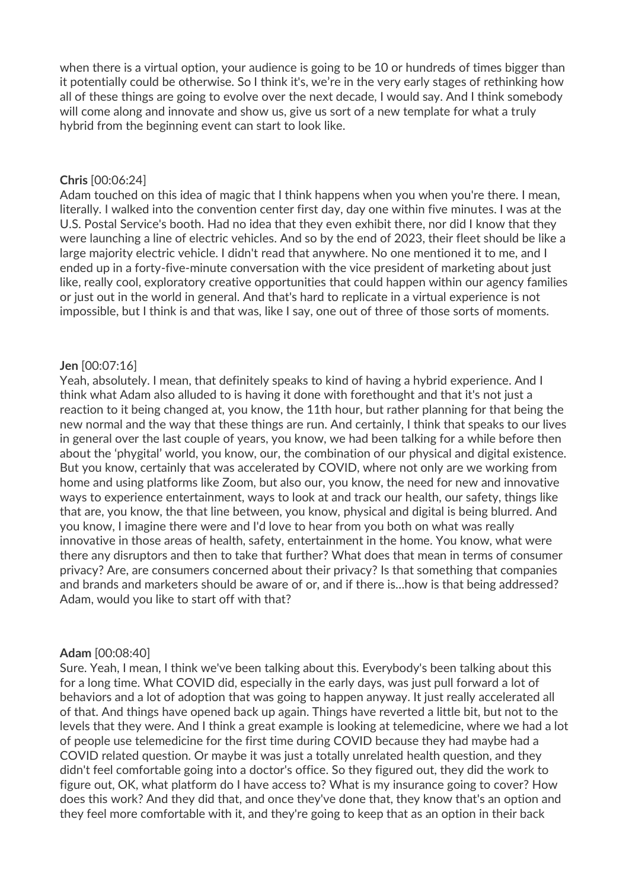when there is a virtual option, your audience is going to be 10 or hundreds of times bigger than it potentially could be otherwise. So I think it's, we're in the very early stages of rethinking how all of these things are going to evolve over the next decade, I would say. And I think somebody will come along and innovate and show us, give us sort of a new template for what a truly hybrid from the beginning event can start to look like.

## **Chris** [00:06:24]

Adam touched on this idea of magic that I think happens when you when you're there. I mean, literally. I walked into the convention center first day, day one within five minutes. I was at the U.S. Postal Service's booth. Had no idea that they even exhibit there, nor did I know that they were launching a line of electric vehicles. And so by the end of 2023, their fleet should be like a large majority electric vehicle. I didn't read that anywhere. No one mentioned it to me, and I ended up in a forty-five-minute conversation with the vice president of marketing about just like, really cool, exploratory creative opportunities that could happen within our agency families or just out in the world in general. And that's hard to replicate in a virtual experience is not impossible, but I think is and that was, like I say, one out of three of those sorts of moments.

### **Jen** [00:07:16]

Yeah, absolutely. I mean, that definitely speaks to kind of having a hybrid experience. And I think what Adam also alluded to is having it done with forethought and that it's not just a reaction to it being changed at, you know, the 11th hour, but rather planning for that being the new normal and the way that these things are run. And certainly, I think that speaks to our lives in general over the last couple of years, you know, we had been talking for a while before then about the 'phygital' world, you know, our, the combination of our physical and digital existence. But you know, certainly that was accelerated by COVID, where not only are we working from home and using platforms like Zoom, but also our, you know, the need for new and innovative ways to experience entertainment, ways to look at and track our health, our safety, things like that are, you know, the that line between, you know, physical and digital is being blurred. And you know, I imagine there were and I'd love to hear from you both on what was really innovative in those areas of health, safety, entertainment in the home. You know, what were there any disruptors and then to take that further? What does that mean in terms of consumer privacy? Are, are consumers concerned about their privacy? Is that something that companies and brands and marketers should be aware of or, and if there is…how is that being addressed? Adam, would you like to start off with that?

## **Adam** [00:08:40]

Sure. Yeah, I mean, I think we've been talking about this. Everybody's been talking about this for a long time. What COVID did, especially in the early days, was just pull forward a lot of behaviors and a lot of adoption that was going to happen anyway. It just really accelerated all of that. And things have opened back up again. Things have reverted a little bit, but not to the levels that they were. And I think a great example is looking at telemedicine, where we had a lot of people use telemedicine for the first time during COVID because they had maybe had a COVID related question. Or maybe it was just a totally unrelated health question, and they didn't feel comfortable going into a doctor's office. So they figured out, they did the work to figure out, OK, what platform do I have access to? What is my insurance going to cover? How does this work? And they did that, and once they've done that, they know that's an option and they feel more comfortable with it, and they're going to keep that as an option in their back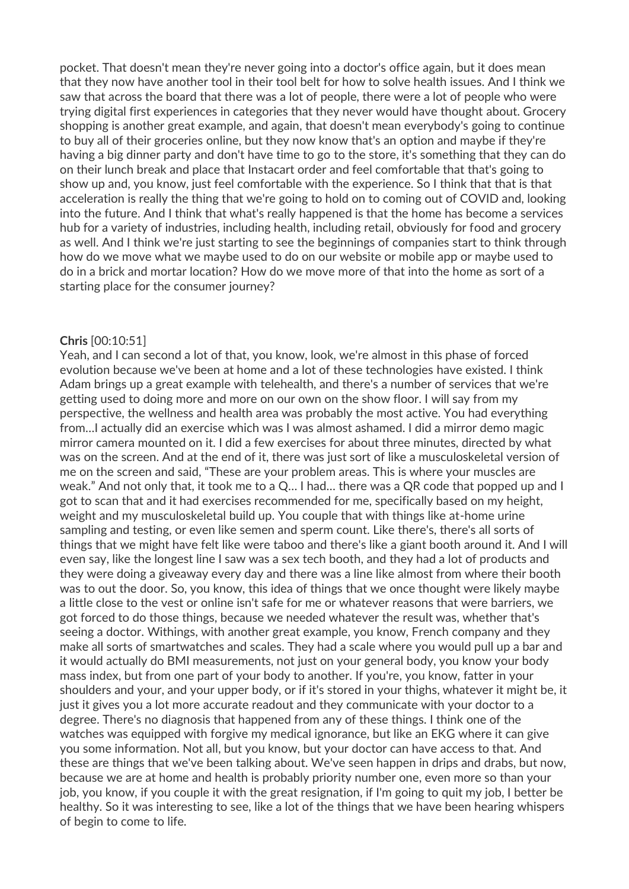pocket. That doesn't mean they're never going into a doctor's office again, but it does mean that they now have another tool in their tool belt for how to solve health issues. And I think we saw that across the board that there was a lot of people, there were a lot of people who were trying digital first experiences in categories that they never would have thought about. Grocery shopping is another great example, and again, that doesn't mean everybody's going to continue to buy all of their groceries online, but they now know that's an option and maybe if they're having a big dinner party and don't have time to go to the store, it's something that they can do on their lunch break and place that Instacart order and feel comfortable that that's going to show up and, you know, just feel comfortable with the experience. So I think that that is that acceleration is really the thing that we're going to hold on to coming out of COVID and, looking into the future. And I think that what's really happened is that the home has become a services hub for a variety of industries, including health, including retail, obviously for food and grocery as well. And I think we're just starting to see the beginnings of companies start to think through how do we move what we maybe used to do on our website or mobile app or maybe used to do in a brick and mortar location? How do we move more of that into the home as sort of a starting place for the consumer journey?

#### **Chris** [00:10:51]

Yeah, and I can second a lot of that, you know, look, we're almost in this phase of forced evolution because we've been at home and a lot of these technologies have existed. I think Adam brings up a great example with telehealth, and there's a number of services that we're getting used to doing more and more on our own on the show floor. I will say from my perspective, the wellness and health area was probably the most active. You had everything from…I actually did an exercise which was I was almost ashamed. I did a mirror demo magic mirror camera mounted on it. I did a few exercises for about three minutes, directed by what was on the screen. And at the end of it, there was just sort of like a musculoskeletal version of me on the screen and said, "These are your problem areas. This is where your muscles are weak." And not only that, it took me to a Q… I had… there was a QR code that popped up and I got to scan that and it had exercises recommended for me, specifically based on my height, weight and my musculoskeletal build up. You couple that with things like at-home urine sampling and testing, or even like semen and sperm count. Like there's, there's all sorts of things that we might have felt like were taboo and there's like a giant booth around it. And I will even say, like the longest line I saw was a sex tech booth, and they had a lot of products and they were doing a giveaway every day and there was a line like almost from where their booth was to out the door. So, you know, this idea of things that we once thought were likely maybe a little close to the vest or online isn't safe for me or whatever reasons that were barriers, we got forced to do those things, because we needed whatever the result was, whether that's seeing a doctor. Withings, with another great example, you know, French company and they make all sorts of smartwatches and scales. They had a scale where you would pull up a bar and it would actually do BMI measurements, not just on your general body, you know your body mass index, but from one part of your body to another. If you're, you know, fatter in your shoulders and your, and your upper body, or if it's stored in your thighs, whatever it might be, it just it gives you a lot more accurate readout and they communicate with your doctor to a degree. There's no diagnosis that happened from any of these things. I think one of the watches was equipped with forgive my medical ignorance, but like an EKG where it can give you some information. Not all, but you know, but your doctor can have access to that. And these are things that we've been talking about. We've seen happen in drips and drabs, but now, because we are at home and health is probably priority number one, even more so than your job, you know, if you couple it with the great resignation, if I'm going to quit my job, I better be healthy. So it was interesting to see, like a lot of the things that we have been hearing whispers of begin to come to life.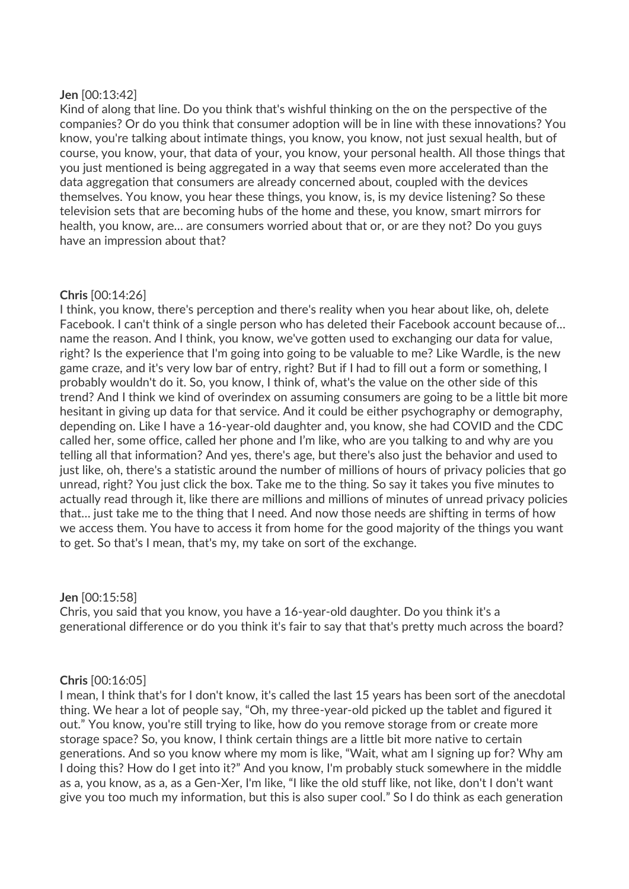# **Jen** [00:13:42]

Kind of along that line. Do you think that's wishful thinking on the on the perspective of the companies? Or do you think that consumer adoption will be in line with these innovations? You know, you're talking about intimate things, you know, you know, not just sexual health, but of course, you know, your, that data of your, you know, your personal health. All those things that you just mentioned is being aggregated in a way that seems even more accelerated than the data aggregation that consumers are already concerned about, coupled with the devices themselves. You know, you hear these things, you know, is, is my device listening? So these television sets that are becoming hubs of the home and these, you know, smart mirrors for health, you know, are… are consumers worried about that or, or are they not? Do you guys have an impression about that?

# **Chris** [00:14:26]

I think, you know, there's perception and there's reality when you hear about like, oh, delete Facebook. I can't think of a single person who has deleted their Facebook account because of… name the reason. And I think, you know, we've gotten used to exchanging our data for value, right? Is the experience that I'm going into going to be valuable to me? Like Wardle, is the new game craze, and it's very low bar of entry, right? But if I had to fill out a form or something, I probably wouldn't do it. So, you know, I think of, what's the value on the other side of this trend? And I think we kind of overindex on assuming consumers are going to be a little bit more hesitant in giving up data for that service. And it could be either psychography or demography, depending on. Like I have a 16-year-old daughter and, you know, she had COVID and the CDC called her, some office, called her phone and I'm like, who are you talking to and why are you telling all that information? And yes, there's age, but there's also just the behavior and used to just like, oh, there's a statistic around the number of millions of hours of privacy policies that go unread, right? You just click the box. Take me to the thing. So say it takes you five minutes to actually read through it, like there are millions and millions of minutes of unread privacy policies that… just take me to the thing that I need. And now those needs are shifting in terms of how we access them. You have to access it from home for the good majority of the things you want to get. So that's I mean, that's my, my take on sort of the exchange.

# **Jen** [00:15:58]

Chris, you said that you know, you have a 16-year-old daughter. Do you think it's a generational difference or do you think it's fair to say that that's pretty much across the board?

## **Chris** [00:16:05]

I mean, I think that's for I don't know, it's called the last 15 years has been sort of the anecdotal thing. We hear a lot of people say, "Oh, my three-year-old picked up the tablet and figured it out." You know, you're still trying to like, how do you remove storage from or create more storage space? So, you know, I think certain things are a little bit more native to certain generations. And so you know where my mom is like, "Wait, what am I signing up for? Why am I doing this? How do I get into it?" And you know, I'm probably stuck somewhere in the middle as a, you know, as a, as a Gen-Xer, I'm like, "I like the old stuff like, not like, don't I don't want give you too much my information, but this is also super cool." So I do think as each generation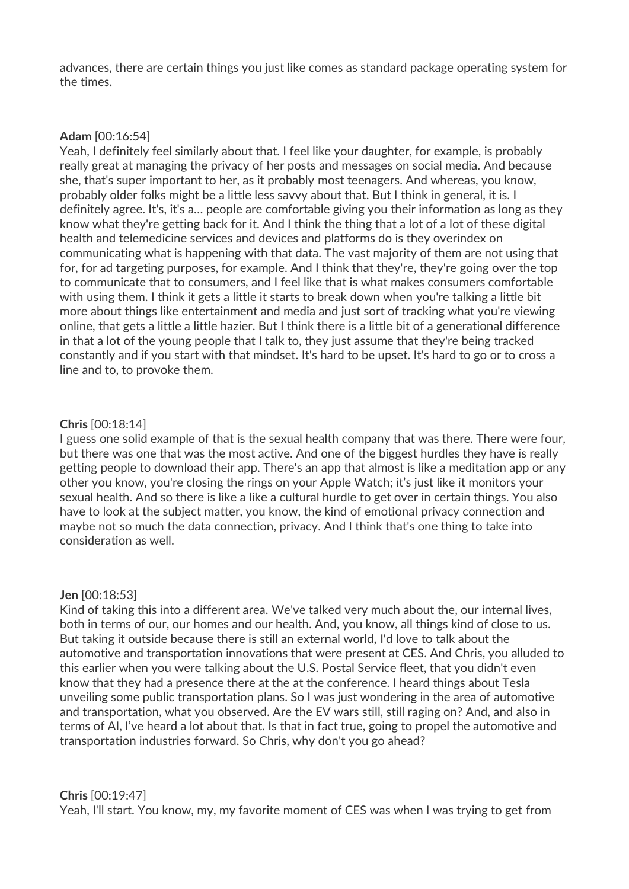advances, there are certain things you just like comes as standard package operating system for the times.

## **Adam** [00:16:54]

Yeah, I definitely feel similarly about that. I feel like your daughter, for example, is probably really great at managing the privacy of her posts and messages on social media. And because she, that's super important to her, as it probably most teenagers. And whereas, you know, probably older folks might be a little less savvy about that. But I think in general, it is. I definitely agree. It's, it's a… people are comfortable giving you their information as long as they know what they're getting back for it. And I think the thing that a lot of a lot of these digital health and telemedicine services and devices and platforms do is they overindex on communicating what is happening with that data. The vast majority of them are not using that for, for ad targeting purposes, for example. And I think that they're, they're going over the top to communicate that to consumers, and I feel like that is what makes consumers comfortable with using them. I think it gets a little it starts to break down when you're talking a little bit more about things like entertainment and media and just sort of tracking what you're viewing online, that gets a little a little hazier. But I think there is a little bit of a generational difference in that a lot of the young people that I talk to, they just assume that they're being tracked constantly and if you start with that mindset. It's hard to be upset. It's hard to go or to cross a line and to, to provoke them.

# **Chris** [00:18:14]

I guess one solid example of that is the sexual health company that was there. There were four, but there was one that was the most active. And one of the biggest hurdles they have is really getting people to download their app. There's an app that almost is like a meditation app or any other you know, you're closing the rings on your Apple Watch; it's just like it monitors your sexual health. And so there is like a like a cultural hurdle to get over in certain things. You also have to look at the subject matter, you know, the kind of emotional privacy connection and maybe not so much the data connection, privacy. And I think that's one thing to take into consideration as well.

## **Jen** [00:18:53]

Kind of taking this into a different area. We've talked very much about the, our internal lives, both in terms of our, our homes and our health. And, you know, all things kind of close to us. But taking it outside because there is still an external world, I'd love to talk about the automotive and transportation innovations that were present at CES. And Chris, you alluded to this earlier when you were talking about the U.S. Postal Service fleet, that you didn't even know that they had a presence there at the at the conference. I heard things about Tesla unveiling some public transportation plans. So I was just wondering in the area of automotive and transportation, what you observed. Are the EV wars still, still raging on? And, and also in terms of AI, I've heard a lot about that. Is that in fact true, going to propel the automotive and transportation industries forward. So Chris, why don't you go ahead?

# **Chris** [00:19:47]

Yeah, I'll start. You know, my, my favorite moment of CES was when I was trying to get from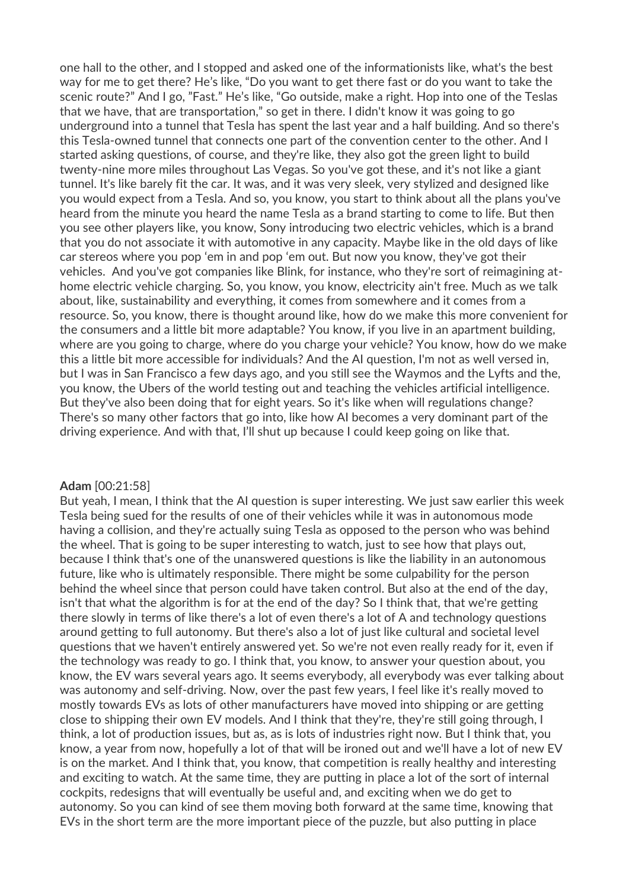one hall to the other, and I stopped and asked one of the informationists like, what's the best way for me to get there? He's like, "Do you want to get there fast or do you want to take the scenic route?" And I go, "Fast." He's like, "Go outside, make a right. Hop into one of the Teslas that we have, that are transportation," so get in there. I didn't know it was going to go underground into a tunnel that Tesla has spent the last year and a half building. And so there's this Tesla-owned tunnel that connects one part of the convention center to the other. And I started asking questions, of course, and they're like, they also got the green light to build twenty-nine more miles throughout Las Vegas. So you've got these, and it's not like a giant tunnel. It's like barely fit the car. It was, and it was very sleek, very stylized and designed like you would expect from a Tesla. And so, you know, you start to think about all the plans you've heard from the minute you heard the name Tesla as a brand starting to come to life. But then you see other players like, you know, Sony introducing two electric vehicles, which is a brand that you do not associate it with automotive in any capacity. Maybe like in the old days of like car stereos where you pop 'em in and pop 'em out. But now you know, they've got their vehicles. And you've got companies like Blink, for instance, who they're sort of reimagining athome electric vehicle charging. So, you know, you know, electricity ain't free. Much as we talk about, like, sustainability and everything, it comes from somewhere and it comes from a resource. So, you know, there is thought around like, how do we make this more convenient for the consumers and a little bit more adaptable? You know, if you live in an apartment building, where are you going to charge, where do you charge your vehicle? You know, how do we make this a little bit more accessible for individuals? And the AI question, I'm not as well versed in, but I was in San Francisco a few days ago, and you still see the Waymos and the Lyfts and the, you know, the Ubers of the world testing out and teaching the vehicles artificial intelligence. But they've also been doing that for eight years. So it's like when will regulations change? There's so many other factors that go into, like how AI becomes a very dominant part of the driving experience. And with that, I'll shut up because I could keep going on like that.

#### **Adam** [00:21:58]

But yeah, I mean, I think that the AI question is super interesting. We just saw earlier this week Tesla being sued for the results of one of their vehicles while it was in autonomous mode having a collision, and they're actually suing Tesla as opposed to the person who was behind the wheel. That is going to be super interesting to watch, just to see how that plays out, because I think that's one of the unanswered questions is like the liability in an autonomous future, like who is ultimately responsible. There might be some culpability for the person behind the wheel since that person could have taken control. But also at the end of the day, isn't that what the algorithm is for at the end of the day? So I think that, that we're getting there slowly in terms of like there's a lot of even there's a lot of A and technology questions around getting to full autonomy. But there's also a lot of just like cultural and societal level questions that we haven't entirely answered yet. So we're not even really ready for it, even if the technology was ready to go. I think that, you know, to answer your question about, you know, the EV wars several years ago. It seems everybody, all everybody was ever talking about was autonomy and self-driving. Now, over the past few years, I feel like it's really moved to mostly towards EVs as lots of other manufacturers have moved into shipping or are getting close to shipping their own EV models. And I think that they're, they're still going through, I think, a lot of production issues, but as, as is lots of industries right now. But I think that, you know, a year from now, hopefully a lot of that will be ironed out and we'll have a lot of new EV is on the market. And I think that, you know, that competition is really healthy and interesting and exciting to watch. At the same time, they are putting in place a lot of the sort of internal cockpits, redesigns that will eventually be useful and, and exciting when we do get to autonomy. So you can kind of see them moving both forward at the same time, knowing that EVs in the short term are the more important piece of the puzzle, but also putting in place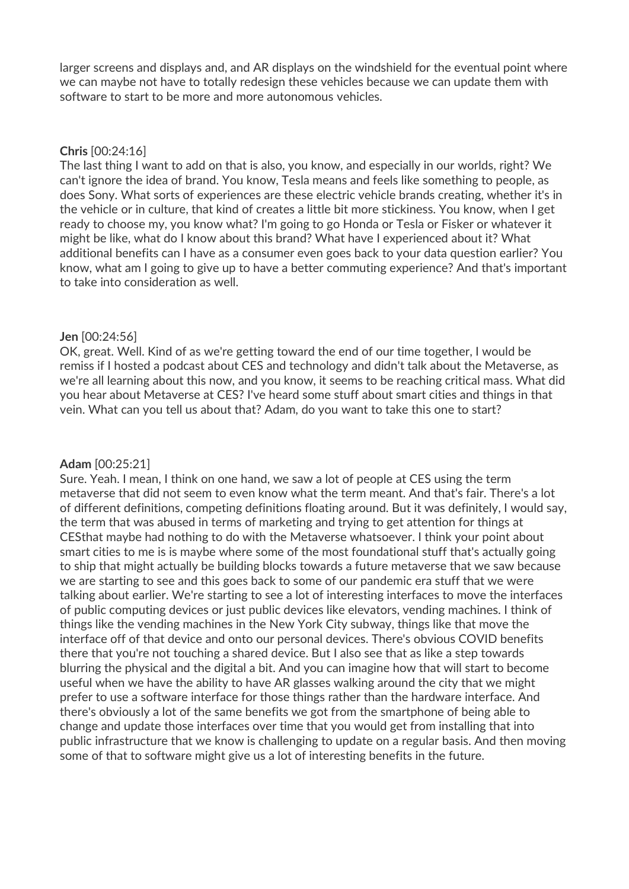larger screens and displays and, and AR displays on the windshield for the eventual point where we can maybe not have to totally redesign these vehicles because we can update them with software to start to be more and more autonomous vehicles.

## **Chris** [00:24:16]

The last thing I want to add on that is also, you know, and especially in our worlds, right? We can't ignore the idea of brand. You know, Tesla means and feels like something to people, as does Sony. What sorts of experiences are these electric vehicle brands creating, whether it's in the vehicle or in culture, that kind of creates a little bit more stickiness. You know, when I get ready to choose my, you know what? I'm going to go Honda or Tesla or Fisker or whatever it might be like, what do I know about this brand? What have I experienced about it? What additional benefits can I have as a consumer even goes back to your data question earlier? You know, what am I going to give up to have a better commuting experience? And that's important to take into consideration as well.

# **Jen** [00:24:56]

OK, great. Well. Kind of as we're getting toward the end of our time together, I would be remiss if I hosted a podcast about CES and technology and didn't talk about the Metaverse, as we're all learning about this now, and you know, it seems to be reaching critical mass. What did you hear about Metaverse at CES? I've heard some stuff about smart cities and things in that vein. What can you tell us about that? Adam, do you want to take this one to start?

## **Adam** [00:25:21]

Sure. Yeah. I mean, I think on one hand, we saw a lot of people at CES using the term metaverse that did not seem to even know what the term meant. And that's fair. There's a lot of different definitions, competing definitions floating around. But it was definitely, I would say, the term that was abused in terms of marketing and trying to get attention for things at CESthat maybe had nothing to do with the Metaverse whatsoever. I think your point about smart cities to me is is maybe where some of the most foundational stuff that's actually going to ship that might actually be building blocks towards a future metaverse that we saw because we are starting to see and this goes back to some of our pandemic era stuff that we were talking about earlier. We're starting to see a lot of interesting interfaces to move the interfaces of public computing devices or just public devices like elevators, vending machines. I think of things like the vending machines in the New York City subway, things like that move the interface off of that device and onto our personal devices. There's obvious COVID benefits there that you're not touching a shared device. But I also see that as like a step towards blurring the physical and the digital a bit. And you can imagine how that will start to become useful when we have the ability to have AR glasses walking around the city that we might prefer to use a software interface for those things rather than the hardware interface. And there's obviously a lot of the same benefits we got from the smartphone of being able to change and update those interfaces over time that you would get from installing that into public infrastructure that we know is challenging to update on a regular basis. And then moving some of that to software might give us a lot of interesting benefits in the future.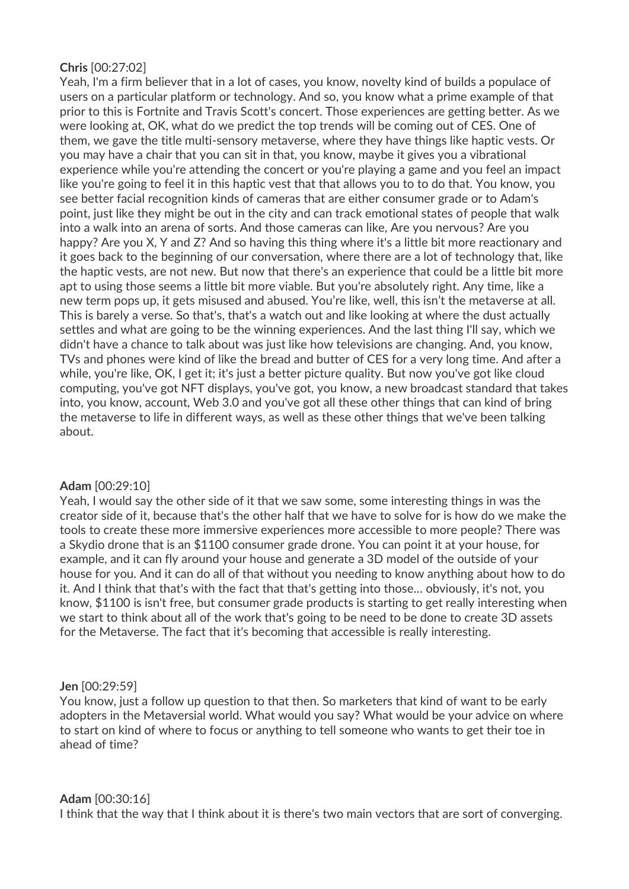# **Chris** [00:27:02]

Yeah, I'm a firm believer that in a lot of cases, you know, novelty kind of builds a populace of users on a particular platform or technology. And so, you know what a prime example of that prior to this is Fortnite and Travis Scott's concert. Those experiences are getting better. As we were looking at, OK, what do we predict the top trends will be coming out of CES. One of them, we gave the title multi-sensory metaverse, where they have things like haptic vests. Or you may have a chair that you can sit in that, you know, maybe it gives you a vibrational experience while you're attending the concert or you're playing a game and you feel an impact like you're going to feel it in this haptic vest that that allows you to to do that. You know, you see better facial recognition kinds of cameras that are either consumer grade or to Adam's point, just like they might be out in the city and can track emotional states of people that walk into a walk into an arena of sorts. And those cameras can like, Are you nervous? Are you happy? Are you X, Y and Z? And so having this thing where it's a little bit more reactionary and it goes back to the beginning of our conversation, where there are a lot of technology that, like the haptic vests, are not new. But now that there's an experience that could be a little bit more apt to using those seems a little bit more viable. But you're absolutely right. Any time, like a new term pops up, it gets misused and abused. You're like, well, this isn't the metaverse at all. This is barely a verse. So that's, that's a watch out and like looking at where the dust actually settles and what are going to be the winning experiences. And the last thing I'll say, which we didn't have a chance to talk about was just like how televisions are changing. And, you know, TVs and phones were kind of like the bread and butter of CES for a very long time. And after a while, you're like, OK, I get it; it's just a better picture quality. But now you've got like cloud computing, you've got NFT displays, you've got, you know, a new broadcast standard that takes into, you know, account, Web 3.0 and you've got all these other things that can kind of bring the metaverse to life in different ways, as well as these other things that we've been talking about.

# **Adam** [00:29:10]

Yeah, I would say the other side of it that we saw some, some interesting things in was the creator side of it, because that's the other half that we have to solve for is how do we make the tools to create these more immersive experiences more accessible to more people? There was a Skydio drone that is an \$1100 consumer grade drone. You can point it at your house, for example, and it can fly around your house and generate a 3D model of the outside of your house for you. And it can do all of that without you needing to know anything about how to do it. And I think that that's with the fact that that's getting into those… obviously, it's not, you know, \$1100 is isn't free, but consumer grade products is starting to get really interesting when we start to think about all of the work that's going to be need to be done to create 3D assets for the Metaverse. The fact that it's becoming that accessible is really interesting.

# **Jen** [00:29:59]

You know, just a follow up question to that then. So marketers that kind of want to be early adopters in the Metaversial world. What would you say? What would be your advice on where to start on kind of where to focus or anything to tell someone who wants to get their toe in ahead of time?

## **Adam** [00:30:16]

I think that the way that I think about it is there's two main vectors that are sort of converging.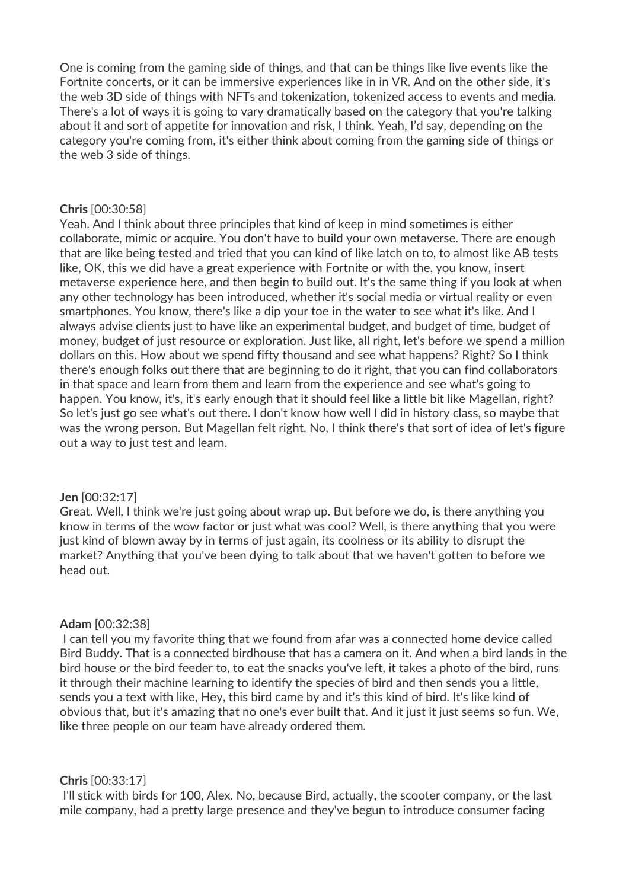One is coming from the gaming side of things, and that can be things like live events like the Fortnite concerts, or it can be immersive experiences like in in VR. And on the other side, it's the web 3D side of things with NFTs and tokenization, tokenized access to events and media. There's a lot of ways it is going to vary dramatically based on the category that you're talking about it and sort of appetite for innovation and risk, I think. Yeah, I'd say, depending on the category you're coming from, it's either think about coming from the gaming side of things or the web 3 side of things.

## **Chris** [00:30:58]

Yeah. And I think about three principles that kind of keep in mind sometimes is either collaborate, mimic or acquire. You don't have to build your own metaverse. There are enough that are like being tested and tried that you can kind of like latch on to, to almost like AB tests like, OK, this we did have a great experience with Fortnite or with the, you know, insert metaverse experience here, and then begin to build out. It's the same thing if you look at when any other technology has been introduced, whether it's social media or virtual reality or even smartphones. You know, there's like a dip your toe in the water to see what it's like. And I always advise clients just to have like an experimental budget, and budget of time, budget of money, budget of just resource or exploration. Just like, all right, let's before we spend a million dollars on this. How about we spend fifty thousand and see what happens? Right? So I think there's enough folks out there that are beginning to do it right, that you can find collaborators in that space and learn from them and learn from the experience and see what's going to happen. You know, it's, it's early enough that it should feel like a little bit like Magellan, right? So let's just go see what's out there. I don't know how well I did in history class, so maybe that was the wrong person. But Magellan felt right. No, I think there's that sort of idea of let's figure out a way to just test and learn.

#### **Jen** [00:32:17]

Great. Well, I think we're just going about wrap up. But before we do, is there anything you know in terms of the wow factor or just what was cool? Well, is there anything that you were just kind of blown away by in terms of just again, its coolness or its ability to disrupt the market? Anything that you've been dying to talk about that we haven't gotten to before we head out.

#### **Adam** [00:32:38]

I can tell you my favorite thing that we found from afar was a connected home device called Bird Buddy. That is a connected birdhouse that has a camera on it. And when a bird lands in the bird house or the bird feeder to, to eat the snacks you've left, it takes a photo of the bird, runs it through their machine learning to identify the species of bird and then sends you a little, sends you a text with like, Hey, this bird came by and it's this kind of bird. It's like kind of obvious that, but it's amazing that no one's ever built that. And it just it just seems so fun. We, like three people on our team have already ordered them.

#### **Chris** [00:33:17]

I'll stick with birds for 100, Alex. No, because Bird, actually, the scooter company, or the last mile company, had a pretty large presence and they've begun to introduce consumer facing